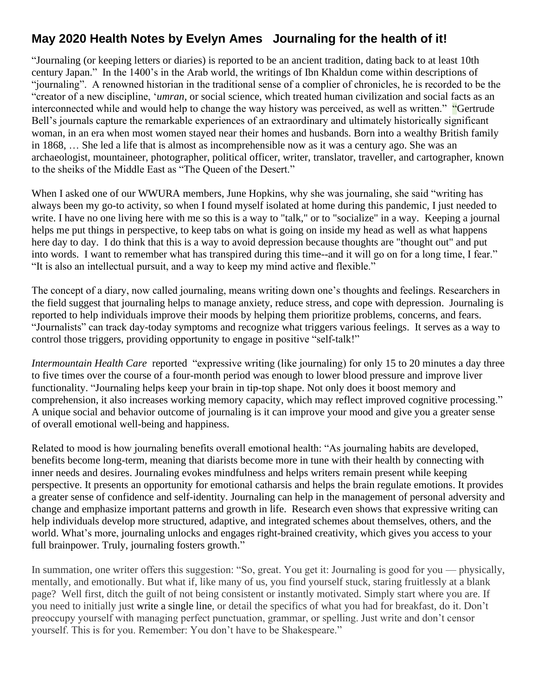## **May 2020 Health Notes by Evelyn Ames Journaling for the health of it!**

"Journaling (or keeping letters or diaries) is reported to be an ancient tradition, dating back to at least 10th century Japan." In the 1400's in the Arab world, the writings of Ibn Khaldun come within descriptions of "journaling". A renowned historian in the traditional sense of a complier of chronicles, he is recorded to be the "creator of a new discipline, '*umran*, or social science, which treated human civilization and social facts as an interconnected while and would help to change the way history was perceived, as well as written." "Gertrude Bell's journals capture the remarkable experiences of an extraordinary and ultimately historically significant woman, in an era when most women stayed near their homes and husbands. Born into a wealthy British family in 1868, … She led a life that is almost as incomprehensible now as it was a century ago. She was an archaeologist, mountaineer, photographer, political officer, writer, translator, traveller, and cartographer, known to the sheiks of the Middle East as "The Queen of the Desert."

When I asked one of our WWURA members, June Hopkins, why she was journaling, she said "writing has always been my go-to activity, so when I found myself isolated at home during this pandemic, I just needed to write. I have no one living here with me so this is a way to "talk," or to "socialize" in a way. Keeping a journal helps me put things in perspective, to keep tabs on what is going on inside my head as well as what happens here day to day. I do think that this is a way to avoid depression because thoughts are "thought out" and put into words. I want to remember what has transpired during this time--and it will go on for a long time, I fear." "It is also an intellectual pursuit, and a way to keep my mind active and flexible."

The concept of a diary, now called journaling, means writing down one's thoughts and feelings. Researchers in the field suggest that journaling helps to manage anxiety, reduce stress, and cope with depression. Journaling is reported to help individuals improve their moods by helping them prioritize problems, concerns, and fears. "Journalists" can track day-today symptoms and recognize what triggers various feelings. It serves as a way to control those triggers, providing opportunity to engage in positive "self-talk!"

*Intermountain Health Care* reported "expressive writing (like journaling) for only [15 to 20 minutes a day three](https://mic.com/articles/110662/science-shows-something-surprising-about-people-who-still-journal#.n0QO5ApTN)  [to five times](https://mic.com/articles/110662/science-shows-something-surprising-about-people-who-still-journal#.n0QO5ApTN) over the course of a [four-month period](http://apt.rcpsych.org/content/11/5/338.full) was enough to lower blood pressure and improve liver functionality. "Journaling helps keep your brain in tip-top shape. Not only does it boost memory and comprehension, it also increases working memory capacity, [which may reflect improved cognitive processing.](https://www.cambridge.org/core/journals/advances-in-psychiatric-treatment/article/emotional-and-physical-health-benefits-of-expressive-writing/ED2976A61F5DE56B46F07A1CE9EA9F9F/core-reader)" A unique social and behavior outcome of journaling is it can improve your mood and give you a greater sense of overall [emotional well-being and happiness.](https://www.theguardian.com/science/2009/feb/15/psychology-usa)

Related to mood is how journaling benefits overall emotional health: "As journaling habits are developed, [benefits become long-term,](https://mic.com/articles/110662/science-shows-something-surprising-about-people-who-still-journal#.n0QO5ApTN) meaning that diarists become more in tune with their health by connecting with inner needs and desires. Journaling evokes mindfulness and helps writers remain present while keeping perspective. It presents an opportunity for emotional catharsis and [helps the brain regulate emotions.](https://www.theguardian.com/science/2009/feb/15/psychology-usa) It provides a [greater sense of confidence](https://www.huffingtonpost.com/thai-nguyen/benefits-of-journaling-_b_6648884.html) and self-identity. Journaling can help in the management of personal adversity and change and emphasize important patterns and growth in life. [Research even shows](https://www.cambridge.org/core/journals/advances-in-psychiatric-treatment/article/emotional-and-physical-health-benefits-of-expressive-writing/ED2976A61F5DE56B46F07A1CE9EA9F9F/core-reader) that expressive writing can help individuals develop more structured, adaptive, and integrated schemes about themselves, others, and the world. What's more, [journaling unlocks and engages right-brained creativity,](https://medium.com/thrive-global/start-journaling-54ea2edb104) which gives you access to your full brainpower. Truly, journaling fosters growth."

In summation, one writer offers this suggestion: "So, great. You get it: Journaling is good for you — physically, mentally, and emotionally. But what if, like many of us, you find yourself stuck, staring fruitlessly at a blank page? Well first, ditch the guilt of not being consistent or instantly motivated. Simply start where you are. If you need to initially just [write a single line,](https://bigthink.com/ideafeed/find-happiness-in-keeping-a-one-sentence-journal) or detail the specifics of what you had for breakfast, do it. Don't preoccupy yourself with managing perfect punctuation, grammar, or spelling. Just write and don't censor yourself. This is for you. Remember: You don't have to be Shakespeare."